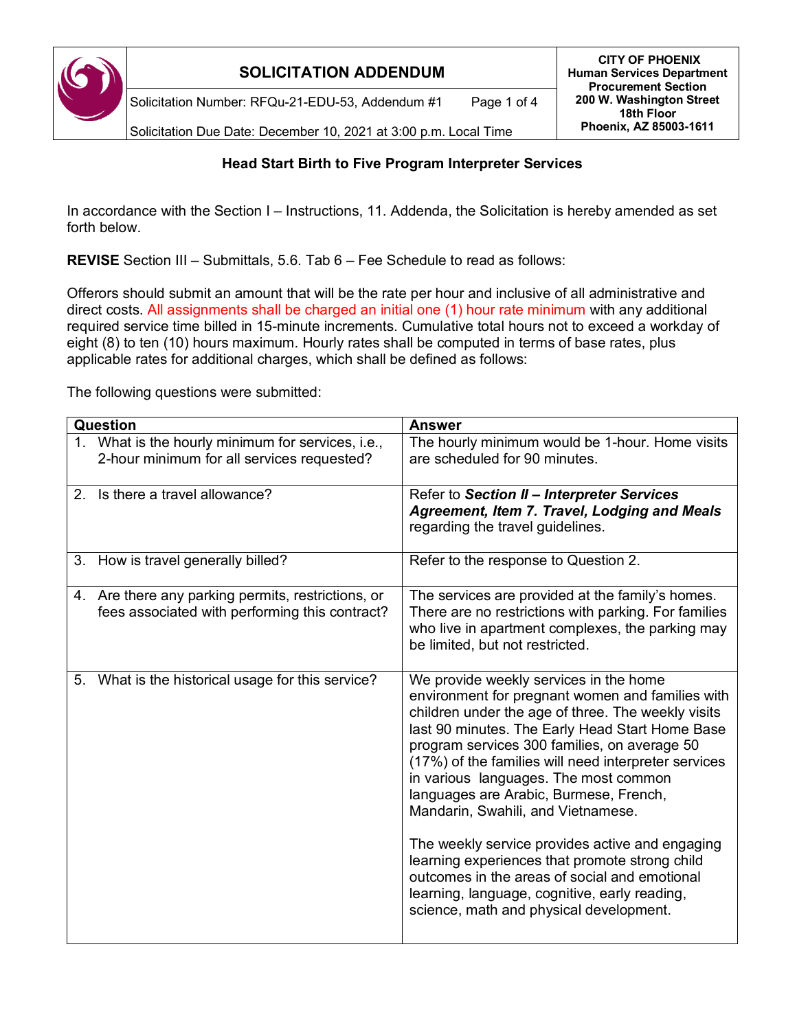

Solicitation Number: RFQu-21-EDU-53, Addendum #1 Page 1 of 4

Solicitation Due Date: December 10, 2021 at 3:00 p.m. Local Time

### **Head Start Birth to Five Program Interpreter Services**

In accordance with the Section I – Instructions, 11. Addenda, the Solicitation is hereby amended as set forth below.

**REVISE** Section III – Submittals, 5.6. Tab 6 – Fee Schedule to read as follows:

Offerors should submit an amount that will be the rate per hour and inclusive of all administrative and direct costs. All assignments shall be charged an initial one (1) hour rate minimum with any additional required service time billed in 15-minute increments. Cumulative total hours not to exceed a workday of eight (8) to ten (10) hours maximum. Hourly rates shall be computed in terms of base rates, plus applicable rates for additional charges, which shall be defined as follows:

The following questions were submitted:

| Question |                                                                                                      | <b>Answer</b>                                                                                                                                                                                                                                                                                                                                                                                                                                                                                                                                                                                                                                                                          |
|----------|------------------------------------------------------------------------------------------------------|----------------------------------------------------------------------------------------------------------------------------------------------------------------------------------------------------------------------------------------------------------------------------------------------------------------------------------------------------------------------------------------------------------------------------------------------------------------------------------------------------------------------------------------------------------------------------------------------------------------------------------------------------------------------------------------|
|          | 1. What is the hourly minimum for services, i.e.,<br>2-hour minimum for all services requested?      | The hourly minimum would be 1-hour. Home visits<br>are scheduled for 90 minutes.                                                                                                                                                                                                                                                                                                                                                                                                                                                                                                                                                                                                       |
| $2^{+}$  | Is there a travel allowance?                                                                         | Refer to Section II - Interpreter Services<br>Agreement, Item 7. Travel, Lodging and Meals<br>regarding the travel guidelines.                                                                                                                                                                                                                                                                                                                                                                                                                                                                                                                                                         |
|          | 3. How is travel generally billed?                                                                   | Refer to the response to Question 2.                                                                                                                                                                                                                                                                                                                                                                                                                                                                                                                                                                                                                                                   |
|          | 4. Are there any parking permits, restrictions, or<br>fees associated with performing this contract? | The services are provided at the family's homes.<br>There are no restrictions with parking. For families<br>who live in apartment complexes, the parking may<br>be limited, but not restricted.                                                                                                                                                                                                                                                                                                                                                                                                                                                                                        |
| 5.       | What is the historical usage for this service?                                                       | We provide weekly services in the home<br>environment for pregnant women and families with<br>children under the age of three. The weekly visits<br>last 90 minutes. The Early Head Start Home Base<br>program services 300 families, on average 50<br>(17%) of the families will need interpreter services<br>in various languages. The most common<br>languages are Arabic, Burmese, French,<br>Mandarin, Swahili, and Vietnamese.<br>The weekly service provides active and engaging<br>learning experiences that promote strong child<br>outcomes in the areas of social and emotional<br>learning, language, cognitive, early reading,<br>science, math and physical development. |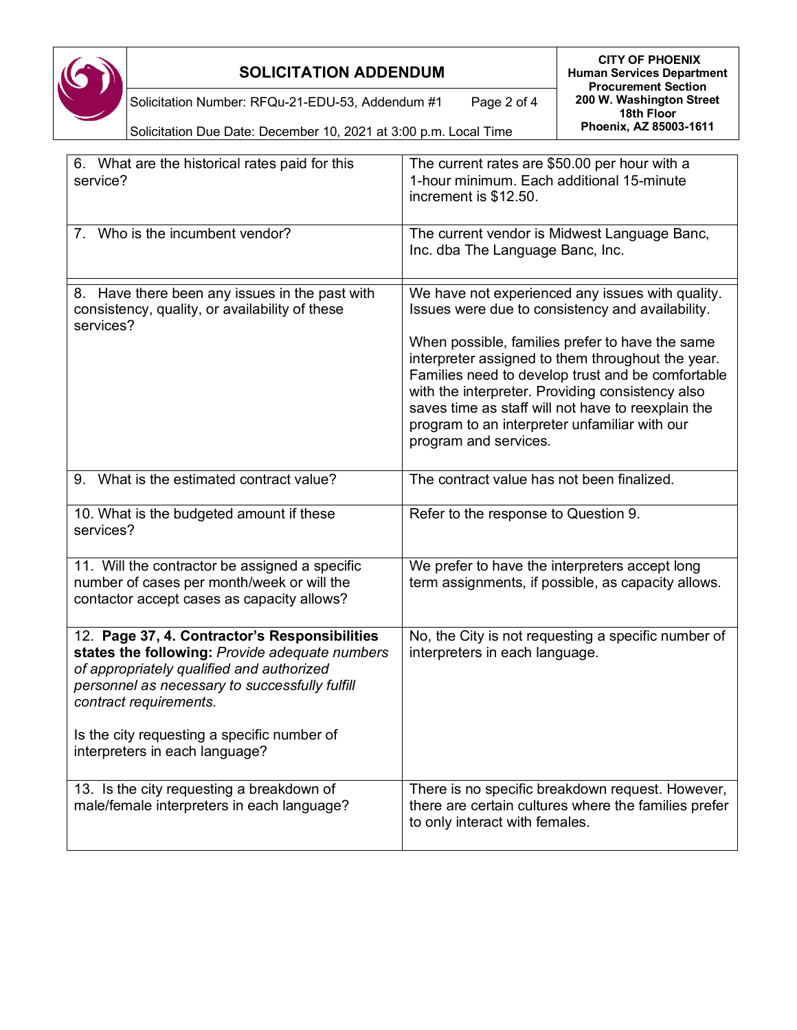

Solicitation Number: RFQu-21-EDU-53, Addendum #1 Page 2 of 4

Solicitation Due Date: December 10, 2021 at 3:00 p.m. Local Time

| 6. What are the historical rates paid for this<br>service?                                                                                                                                                               | The current rates are \$50.00 per hour with a<br>1-hour minimum. Each additional 15-minute<br>increment is \$12.50.                                                                                                                                               |
|--------------------------------------------------------------------------------------------------------------------------------------------------------------------------------------------------------------------------|-------------------------------------------------------------------------------------------------------------------------------------------------------------------------------------------------------------------------------------------------------------------|
| 7. Who is the incumbent vendor?                                                                                                                                                                                          | The current vendor is Midwest Language Banc,<br>Inc. dba The Language Banc, Inc.                                                                                                                                                                                  |
| 8. Have there been any issues in the past with<br>consistency, quality, or availability of these<br>services?                                                                                                            | We have not experienced any issues with quality.<br>Issues were due to consistency and availability.<br>When possible, families prefer to have the same<br>interpreter assigned to them throughout the year.<br>Families need to develop trust and be comfortable |
|                                                                                                                                                                                                                          | with the interpreter. Providing consistency also<br>saves time as staff will not have to reexplain the<br>program to an interpreter unfamiliar with our<br>program and services.                                                                                  |
| 9. What is the estimated contract value?                                                                                                                                                                                 | The contract value has not been finalized.                                                                                                                                                                                                                        |
| 10. What is the budgeted amount if these<br>services?                                                                                                                                                                    | Refer to the response to Question 9.                                                                                                                                                                                                                              |
| 11. Will the contractor be assigned a specific<br>number of cases per month/week or will the<br>contactor accept cases as capacity allows?                                                                               | We prefer to have the interpreters accept long<br>term assignments, if possible, as capacity allows.                                                                                                                                                              |
| 12. Page 37, 4. Contractor's Responsibilities<br>states the following: Provide adequate numbers<br>of appropriately qualified and authorized<br>personnel as necessary to successfully fulfill<br>contract requirements. | No, the City is not requesting a specific number of<br>interpreters in each language.                                                                                                                                                                             |
| Is the city requesting a specific number of<br>interpreters in each language?                                                                                                                                            |                                                                                                                                                                                                                                                                   |
| 13. Is the city requesting a breakdown of<br>male/female interpreters in each language?                                                                                                                                  | There is no specific breakdown request. However,<br>there are certain cultures where the families prefer<br>to only interact with females.                                                                                                                        |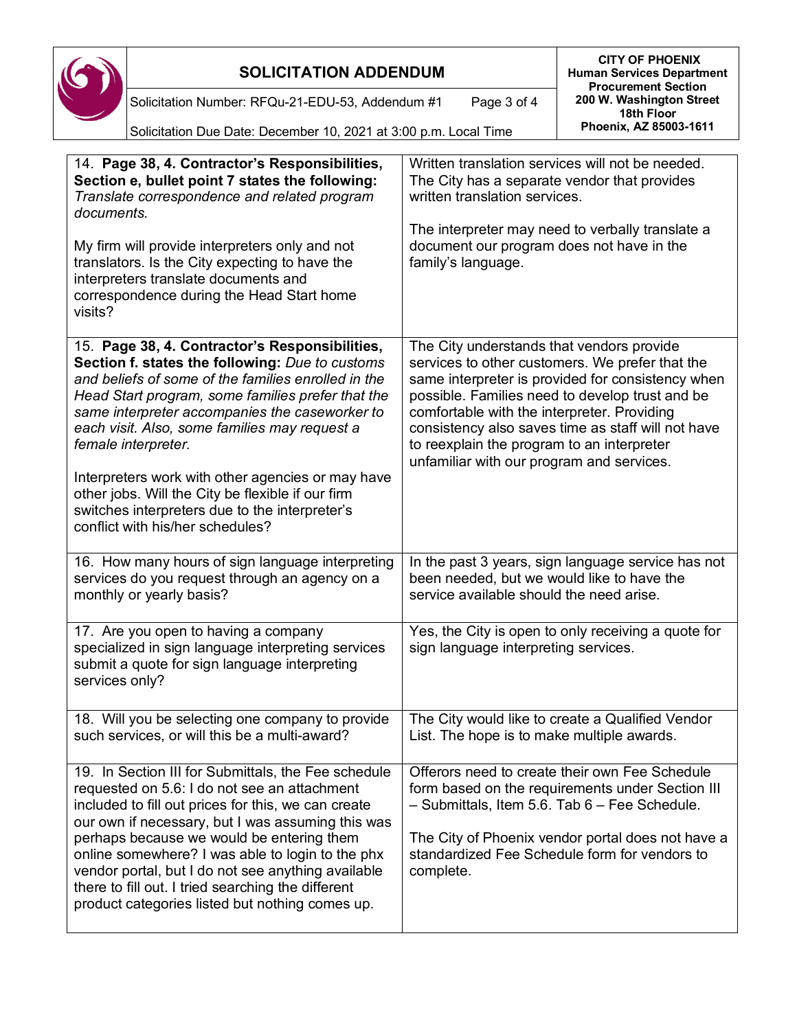

**CITY OF PHOENIX Human Services Department Procurement Section 200 W. Washington Street 18th Floor Phoenix, AZ 85003-1611**

Solicitation Number: RFQu-21-EDU-53, Addendum #1 Page 3 of 4

| Solicitation Due Date: December 10, 2021 at 3:00 p.m. Local Time |
|------------------------------------------------------------------|
|------------------------------------------------------------------|

| 14. Page 38, 4. Contractor's Responsibilities,<br>Section e, bullet point 7 states the following:<br>Translate correspondence and related program<br>documents.                                                                                                                                                                                                                                                                                                                 | Written translation services will not be needed.<br>The City has a separate vendor that provides<br>written translation services.<br>The interpreter may need to verbally translate a                                                                                                                                                                                                                |
|---------------------------------------------------------------------------------------------------------------------------------------------------------------------------------------------------------------------------------------------------------------------------------------------------------------------------------------------------------------------------------------------------------------------------------------------------------------------------------|------------------------------------------------------------------------------------------------------------------------------------------------------------------------------------------------------------------------------------------------------------------------------------------------------------------------------------------------------------------------------------------------------|
| My firm will provide interpreters only and not<br>translators. Is the City expecting to have the<br>interpreters translate documents and<br>correspondence during the Head Start home<br>visits?                                                                                                                                                                                                                                                                                | document our program does not have in the<br>family's language.                                                                                                                                                                                                                                                                                                                                      |
| 15. Page 38, 4. Contractor's Responsibilities,<br>Section f. states the following: Due to customs<br>and beliefs of some of the families enrolled in the<br>Head Start program, some families prefer that the<br>same interpreter accompanies the caseworker to<br>each visit. Also, some families may request a<br>female interpreter.                                                                                                                                         | The City understands that vendors provide<br>services to other customers. We prefer that the<br>same interpreter is provided for consistency when<br>possible. Families need to develop trust and be<br>comfortable with the interpreter. Providing<br>consistency also saves time as staff will not have<br>to reexplain the program to an interpreter<br>unfamiliar with our program and services. |
| Interpreters work with other agencies or may have<br>other jobs. Will the City be flexible if our firm<br>switches interpreters due to the interpreter's<br>conflict with his/her schedules?                                                                                                                                                                                                                                                                                    |                                                                                                                                                                                                                                                                                                                                                                                                      |
| 16. How many hours of sign language interpreting<br>services do you request through an agency on a<br>monthly or yearly basis?                                                                                                                                                                                                                                                                                                                                                  | In the past 3 years, sign language service has not<br>been needed, but we would like to have the<br>service available should the need arise.                                                                                                                                                                                                                                                         |
| 17. Are you open to having a company<br>specialized in sign language interpreting services<br>submit a quote for sign language interpreting<br>services only?                                                                                                                                                                                                                                                                                                                   | Yes, the City is open to only receiving a quote for<br>sign language interpreting services.                                                                                                                                                                                                                                                                                                          |
| 18. Will you be selecting one company to provide<br>such services, or will this be a multi-award?                                                                                                                                                                                                                                                                                                                                                                               | The City would like to create a Qualified Vendor<br>List. The hope is to make multiple awards.                                                                                                                                                                                                                                                                                                       |
| 19. In Section III for Submittals, the Fee schedule<br>requested on 5.6: I do not see an attachment<br>included to fill out prices for this, we can create<br>our own if necessary, but I was assuming this was<br>perhaps because we would be entering them<br>online somewhere? I was able to login to the phx<br>vendor portal, but I do not see anything available<br>there to fill out. I tried searching the different<br>product categories listed but nothing comes up. | Offerors need to create their own Fee Schedule<br>form based on the requirements under Section III<br>- Submittals, Item 5.6. Tab 6 - Fee Schedule.<br>The City of Phoenix vendor portal does not have a<br>standardized Fee Schedule form for vendors to<br>complete.                                                                                                                               |